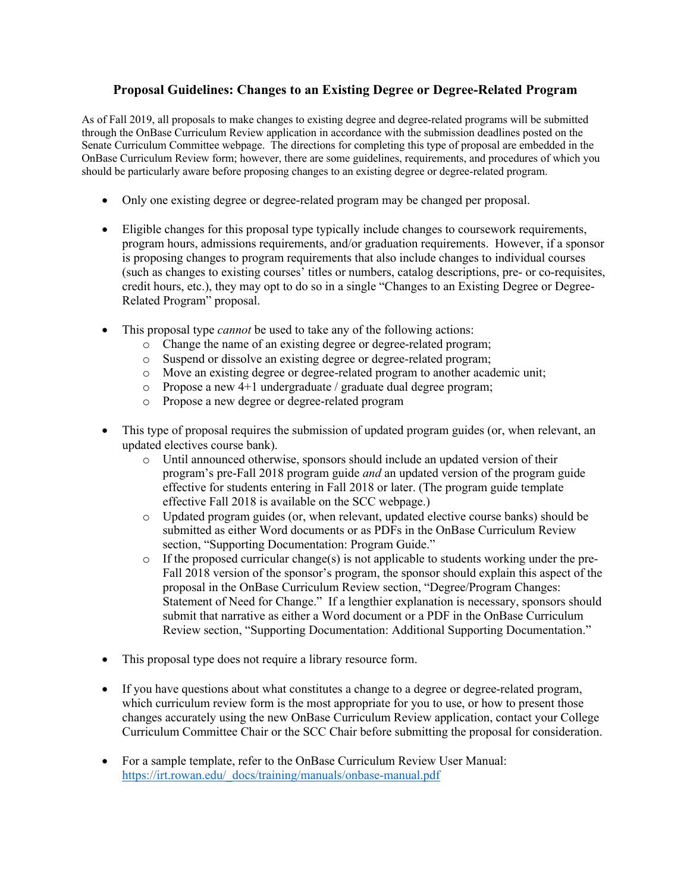# **Proposal Guidelines: Changes to an Existing Degree or Degree-Related Program**

As of Fall 2019, all proposals to make changes to existing degree and degree-related programs will be submitted through the OnBase Curriculum Review application in accordance with the submission deadlines posted on the Senate Curriculum Committee webpage. The directions for completing this type of proposal are embedded in the OnBase Curriculum Review form; however, there are some guidelines, requirements, and procedures of which you should be particularly aware before proposing changes to an existing degree or degree-related program.

- Only one existing degree or degree-related program may be changed per proposal.
- Eligible changes for this proposal type typically include changes to coursework requirements, program hours, admissions requirements, and/or graduation requirements. However, if a sponsor is proposing changes to program requirements that also include changes to individual courses (such as changes to existing courses' titles or numbers, catalog descriptions, pre- or co-requisites, credit hours, etc.), they may opt to do so in a single "Changes to an Existing Degree or Degree-Related Program" proposal.
- This proposal type *cannot* be used to take any of the following actions:
	- o Change the name of an existing degree or degree-related program;
	- o Suspend or dissolve an existing degree or degree-related program;
	- o Move an existing degree or degree-related program to another academic unit;
	- o Propose a new 4+1 undergraduate / graduate dual degree program;
	- o Propose a new degree or degree-related program
- This type of proposal requires the submission of updated program guides (or, when relevant, an updated electives course bank).
	- o Until announced otherwise, sponsors should include an updated version of their program's pre-Fall 2018 program guide *and* an updated version of the program guide effective for students entering in Fall 2018 or later. (The program guide template effective Fall 2018 is available on the SCC webpage.)
	- o Updated program guides (or, when relevant, updated elective course banks) should be submitted as either Word documents or as PDFs in the OnBase Curriculum Review section, "Supporting Documentation: Program Guide."
	- $\circ$  If the proposed curricular change(s) is not applicable to students working under the pre-Fall 2018 version of the sponsor's program, the sponsor should explain this aspect of the proposal in the OnBase Curriculum Review section, "Degree/Program Changes: Statement of Need for Change." If a lengthier explanation is necessary, sponsors should submit that narrative as either a Word document or a PDF in the OnBase Curriculum Review section, "Supporting Documentation: Additional Supporting Documentation."
- This proposal type does not require a library resource form.
- If you have questions about what constitutes a change to a degree or degree-related program, which curriculum review form is the most appropriate for you to use, or how to present those changes accurately using the new OnBase Curriculum Review application, contact your College Curriculum Committee Chair or the SCC Chair before submitting the proposal for consideration.
- For a sample template, refer to the OnBase Curriculum Review User Manual: https://irt.rowan.edu/\_docs/training/manuals/onbase-manual.pdf